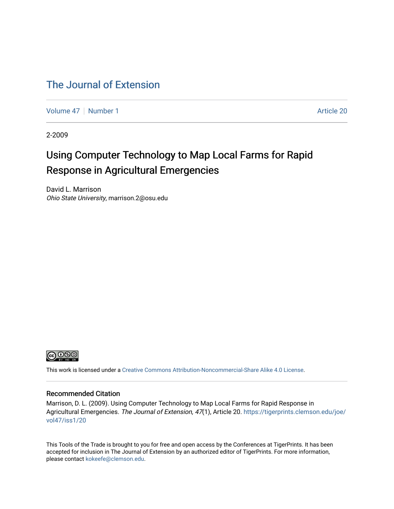#### [The Journal of Extension](https://tigerprints.clemson.edu/joe)

[Volume 47](https://tigerprints.clemson.edu/joe/vol47) | [Number 1](https://tigerprints.clemson.edu/joe/vol47/iss1) Article 20

2-2009

#### Using Computer Technology to Map Local Farms for Rapid Response in Agricultural Emergencies

David L. Marrison Ohio State University, marrison.2@osu.edu



This work is licensed under a [Creative Commons Attribution-Noncommercial-Share Alike 4.0 License.](https://creativecommons.org/licenses/by-nc-sa/4.0/)

#### Recommended Citation

Marrison, D. L. (2009). Using Computer Technology to Map Local Farms for Rapid Response in Agricultural Emergencies. The Journal of Extension, 47(1), Article 20. [https://tigerprints.clemson.edu/joe/](https://tigerprints.clemson.edu/joe/vol47/iss1/20) [vol47/iss1/20](https://tigerprints.clemson.edu/joe/vol47/iss1/20) 

This Tools of the Trade is brought to you for free and open access by the Conferences at TigerPrints. It has been accepted for inclusion in The Journal of Extension by an authorized editor of TigerPrints. For more information, please contact [kokeefe@clemson.edu](mailto:kokeefe@clemson.edu).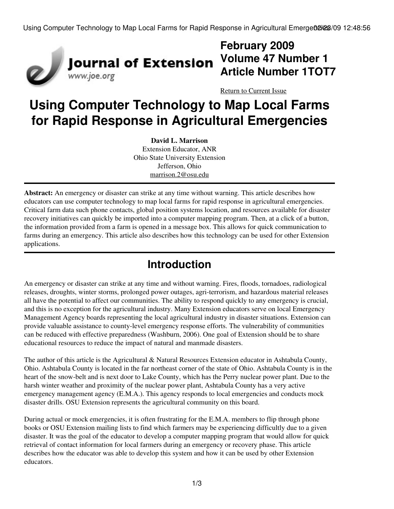Using Computer Technology to Map Local Farms for Rapid Response in Agricultural Emerge02i23/09 12:48:56



## **February 2009 Volume 47 Number 1 Article Number 1TOT7**

[Return to Current Issue](http://www.joe.org:80/joe/2009february/)

# **Using Computer Technology to Map Local Farms for Rapid Response in Agricultural Emergencies**

**David L. Marrison** Extension Educator, ANR Ohio State University Extension Jefferson, Ohio [marrison.2@osu.edu](mailto:marrison.2@osu.edu)

**Abstract:** An emergency or disaster can strike at any time without warning. This article describes how educators can use computer technology to map local farms for rapid response in agricultural emergencies. Critical farm data such phone contacts, global position systems location, and resources available for disaster recovery initiatives can quickly be imported into a computer mapping program. Then, at a click of a button, the information provided from a farm is opened in a message box. This allows for quick communication to farms during an emergency. This article also describes how this technology can be used for other Extension applications.

### **Introduction**

An emergency or disaster can strike at any time and without warning. Fires, floods, tornadoes, radiological releases, droughts, winter storms, prolonged power outages, agri-terrorism, and hazardous material releases all have the potential to affect our communities. The ability to respond quickly to any emergency is crucial, and this is no exception for the agricultural industry. Many Extension educators serve on local Emergency Management Agency boards representing the local agricultural industry in disaster situations. Extension can provide valuable assistance to county-level emergency response efforts. The vulnerability of communities can be reduced with effective preparedness (Washburn, 2006). One goal of Extension should be to share educational resources to reduce the impact of natural and manmade disasters.

The author of this article is the Agricultural & Natural Resources Extension educator in Ashtabula County, Ohio. Ashtabula County is located in the far northeast corner of the state of Ohio. Ashtabula County is in the heart of the snow-belt and is next door to Lake County, which has the Perry nuclear power plant. Due to the harsh winter weather and proximity of the nuclear power plant, Ashtabula County has a very active emergency management agency (E.M.A.). This agency responds to local emergencies and conducts mock disaster drills. OSU Extension represents the agricultural community on this board.

During actual or mock emergencies, it is often frustrating for the E.M.A. members to flip through phone books or OSU Extension mailing lists to find which farmers may be experiencing difficultly due to a given disaster. It was the goal of the educator to develop a computer mapping program that would allow for quick retrieval of contact information for local farmers during an emergency or recovery phase. This article describes how the educator was able to develop this system and how it can be used by other Extension educators.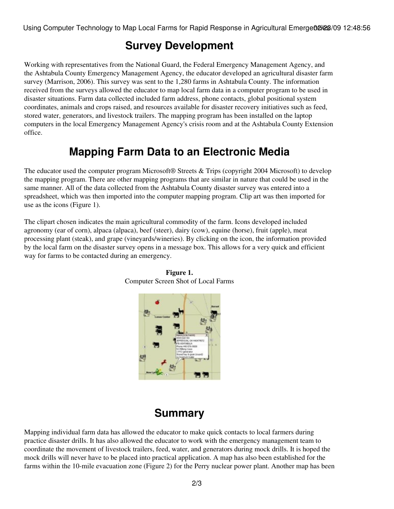#### **Survey Development**

Working with representatives from the National Guard, the Federal Emergency Management Agency, and the Ashtabula County Emergency Management Agency, the educator developed an agricultural disaster farm survey (Marrison, 2006). This survey was sent to the 1,280 farms in Ashtabula County. The information received from the surveys allowed the educator to map local farm data in a computer program to be used in disaster situations. Farm data collected included farm address, phone contacts, global positional system coordinates, animals and crops raised, and resources available for disaster recovery initiatives such as feed, stored water, generators, and livestock trailers. The mapping program has been installed on the laptop computers in the local Emergency Management Agency's crisis room and at the Ashtabula County Extension office.

#### **Mapping Farm Data to an Electronic Media**

The educator used the computer program Microsoft® Streets & Trips (copyright 2004 Microsoft) to develop the mapping program. There are other mapping programs that are similar in nature that could be used in the same manner. All of the data collected from the Ashtabula County disaster survey was entered into a spreadsheet, which was then imported into the computer mapping program. Clip art was then imported for use as the icons (Figure 1).

The clipart chosen indicates the main agricultural commodity of the farm. Icons developed included agronomy (ear of corn), alpaca (alpaca), beef (steer), dairy (cow), equine (horse), fruit (apple), meat processing plant (steak), and grape (vineyards/wineries). By clicking on the icon, the information provided by the local farm on the disaster survey opens in a message box. This allows for a very quick and efficient way for farms to be contacted during an emergency.



**Figure 1.** Computer Screen Shot of Local Farms

# **Summary**

Mapping individual farm data has allowed the educator to make quick contacts to local farmers during practice disaster drills. It has also allowed the educator to work with the emergency management team to coordinate the movement of livestock trailers, feed, water, and generators during mock drills. It is hoped the mock drills will never have to be placed into practical application. A map has also been established for the farms within the 10-mile evacuation zone (Figure 2) for the Perry nuclear power plant. Another map has been